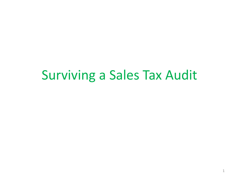#### Surviving a Sales Tax Audit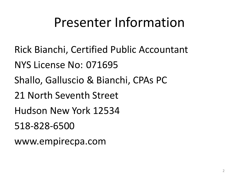#### Presenter Information

- Rick Bianchi, Certified Public Accountant
- NYS License No: 071695
- Shallo, Galluscio & Bianchi, CPAs PC
- 21 North Seventh Street
- Hudson New York 12534
- 518-828-6500
- www.empirecpa.com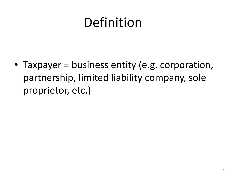#### Definition

• Taxpayer = business entity (e.g. corporation, partnership, limited liability company, sole proprietor, etc.)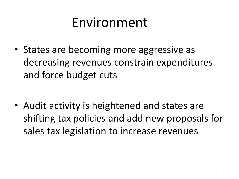#### Environment

• States are becoming more aggressive as decreasing revenues constrain expenditures and force budget cuts

• Audit activity is heightened and states are shifting tax policies and add new proposals for sales tax legislation to increase revenues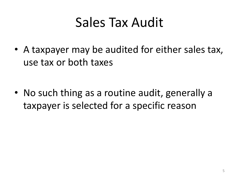#### Sales Tax Audit

• A taxpayer may be audited for either sales tax, use tax or both taxes

• No such thing as a routine audit, generally a taxpayer is selected for a specific reason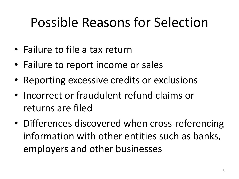### Possible Reasons for Selection

- Failure to file a tax return
- Failure to report income or sales
- Reporting excessive credits or exclusions
- Incorrect or fraudulent refund claims or returns are filed
- Differences discovered when cross-referencing information with other entities such as banks, employers and other businesses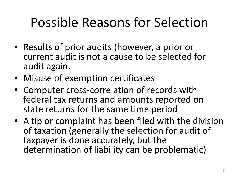## Possible Reasons for Selection

- Results of prior audits (however, a prior or current audit is not a cause to be selected for audit again.
- Misuse of exemption certificates
- Computer cross-correlation of records with federal tax returns and amounts reported on state returns for the same time period
- A tip or complaint has been filed with the division of taxation (generally the selection for audit of taxpayer is done accurately, but the determination of liability can be problematic)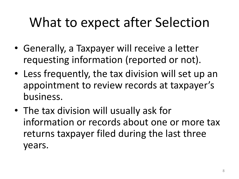### What to expect after Selection

- Generally, a Taxpayer will receive a letter requesting information (reported or not).
- Less frequently, the tax division will set up an appointment to review records at taxpayer's business.
- The tax division will usually ask for information or records about one or more tax returns taxpayer filed during the last three years.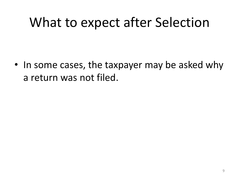#### What to expect after Selection

• In some cases, the taxpayer may be asked why a return was not filed.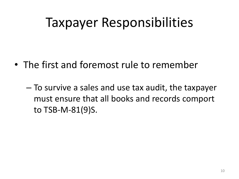- The first and foremost rule to remember
	- To survive a sales and use tax audit, the taxpayer must ensure that all books and records comport to TSB-M-81(9)S.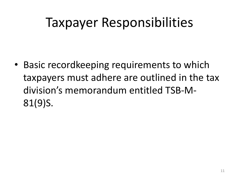• Basic recordkeeping requirements to which taxpayers must adhere are outlined in the tax division's memorandum entitled TSB-M-81(9)S.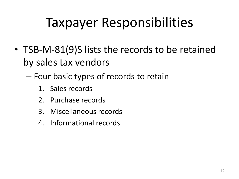- TSB-M-81(9)S lists the records to be retained by sales tax vendors
	- Four basic types of records to retain
		- 1. Sales records
		- 2. Purchase records
		- 3. Miscellaneous records
		- 4. Informational records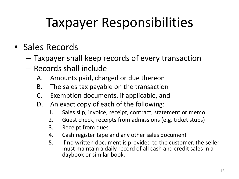- Sales Records
	- Taxpayer shall keep records of every transaction
	- Records shall include
		- A. Amounts paid, charged or due thereon
		- B. The sales tax payable on the transaction
		- C. Exemption documents, if applicable, and
		- D. An exact copy of each of the following:
			- 1. Sales slip, invoice, receipt, contract, statement or memo
			- 2. Guest check, receipts from admissions (e.g. ticket stubs)
			- 3. Receipt from dues
			- 4. Cash register tape and any other sales document
			- 5. If no written document is provided to the customer, the seller must maintain a daily record of all cash and credit sales in a daybook or similar book.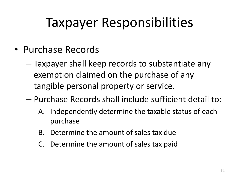- Purchase Records
	- Taxpayer shall keep records to substantiate any exemption claimed on the purchase of any tangible personal property or service.
	- Purchase Records shall include sufficient detail to:
		- A. Independently determine the taxable status of each purchase
		- B. Determine the amount of sales tax due
		- C. Determine the amount of sales tax paid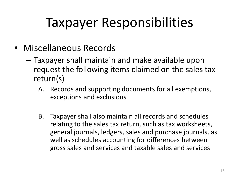- Miscellaneous Records
	- Taxpayer shall maintain and make available upon request the following items claimed on the sales tax return(s)
		- A. Records and supporting documents for all exemptions, exceptions and exclusions
		- B. Taxpayer shall also maintain all records and schedules relating to the sales tax return, such as tax worksheets, general journals, ledgers, sales and purchase journals, as well as schedules accounting for differences between gross sales and services and taxable sales and services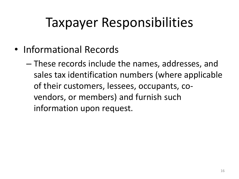- Informational Records
	- These records include the names, addresses, and sales tax identification numbers (where applicable of their customers, lessees, occupants, covendors, or members) and furnish such information upon request.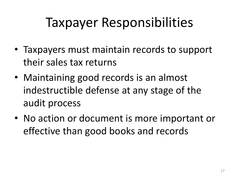- Taxpayers must maintain records to support their sales tax returns
- Maintaining good records is an almost indestructible defense at any stage of the audit process
- No action or document is more important or effective than good books and records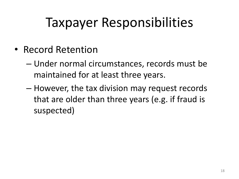- Record Retention
	- Under normal circumstances, records must be maintained for at least three years.
	- However, the tax division may request records that are older than three years (e.g. if fraud is suspected)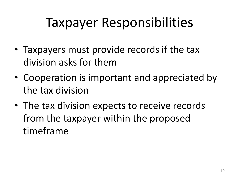- Taxpayers must provide records if the tax division asks for them
- Cooperation is important and appreciated by the tax division
- The tax division expects to receive records from the taxpayer within the proposed timeframe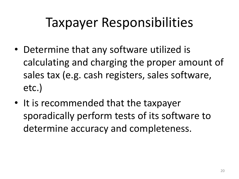- Determine that any software utilized is calculating and charging the proper amount of sales tax (e.g. cash registers, sales software, etc.)
- It is recommended that the taxpayer sporadically perform tests of its software to determine accuracy and completeness.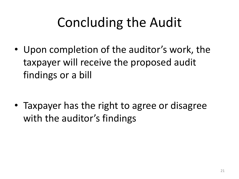• Upon completion of the auditor's work, the taxpayer will receive the proposed audit findings or a bill

• Taxpayer has the right to agree or disagree with the auditor's findings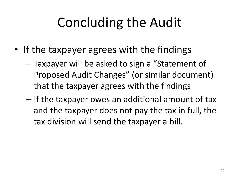- If the taxpayer agrees with the findings
	- Taxpayer will be asked to sign a "Statement of Proposed Audit Changes" (or similar document) that the taxpayer agrees with the findings
	- If the taxpayer owes an additional amount of tax and the taxpayer does not pay the tax in full, the tax division will send the taxpayer a bill.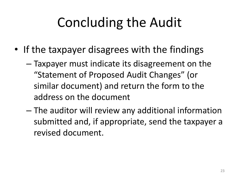- If the taxpayer disagrees with the findings
	- Taxpayer must indicate its disagreement on the "Statement of Proposed Audit Changes" (or similar document) and return the form to the address on the document
	- The auditor will review any additional information submitted and, if appropriate, send the taxpayer a revised document.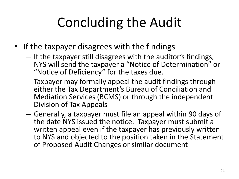- If the taxpayer disagrees with the findings
	- If the taxpayer still disagrees with the auditor's findings, NYS will send the taxpayer a "Notice of Determination" or "Notice of Deficiency" for the taxes due.
	- Taxpayer may formally appeal the audit findings through either the Tax Department's Bureau of Conciliation and Mediation Services (BCMS) or through the independent Division of Tax Appeals
	- Generally, a taxpayer must file an appeal within 90 days of the date NYS issued the notice. Taxpayer must submit a written appeal even if the taxpayer has previously written to NYS and objected to the position taken in the Statement of Proposed Audit Changes or similar document